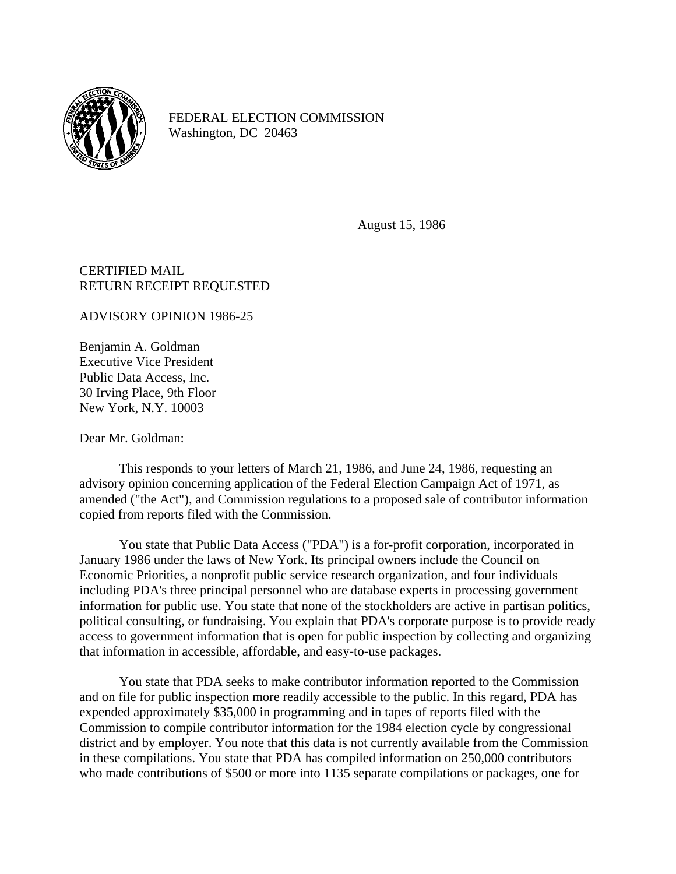

FEDERAL ELECTION COMMISSION Washington, DC 20463

August 15, 1986

## CERTIFIED MAIL RETURN RECEIPT REQUESTED

ADVISORY OPINION 1986-25

Benjamin A. Goldman Executive Vice President Public Data Access, Inc. 30 Irving Place, 9th Floor New York, N.Y. 10003

Dear Mr. Goldman:

This responds to your letters of March 21, 1986, and June 24, 1986, requesting an advisory opinion concerning application of the Federal Election Campaign Act of 1971, as amended ("the Act"), and Commission regulations to a proposed sale of contributor information copied from reports filed with the Commission.

You state that Public Data Access ("PDA") is a for-profit corporation, incorporated in January 1986 under the laws of New York. Its principal owners include the Council on Economic Priorities, a nonprofit public service research organization, and four individuals including PDA's three principal personnel who are database experts in processing government information for public use. You state that none of the stockholders are active in partisan politics, political consulting, or fundraising. You explain that PDA's corporate purpose is to provide ready access to government information that is open for public inspection by collecting and organizing that information in accessible, affordable, and easy-to-use packages.

You state that PDA seeks to make contributor information reported to the Commission and on file for public inspection more readily accessible to the public. In this regard, PDA has expended approximately \$35,000 in programming and in tapes of reports filed with the Commission to compile contributor information for the 1984 election cycle by congressional district and by employer. You note that this data is not currently available from the Commission in these compilations. You state that PDA has compiled information on 250,000 contributors who made contributions of \$500 or more into 1135 separate compilations or packages, one for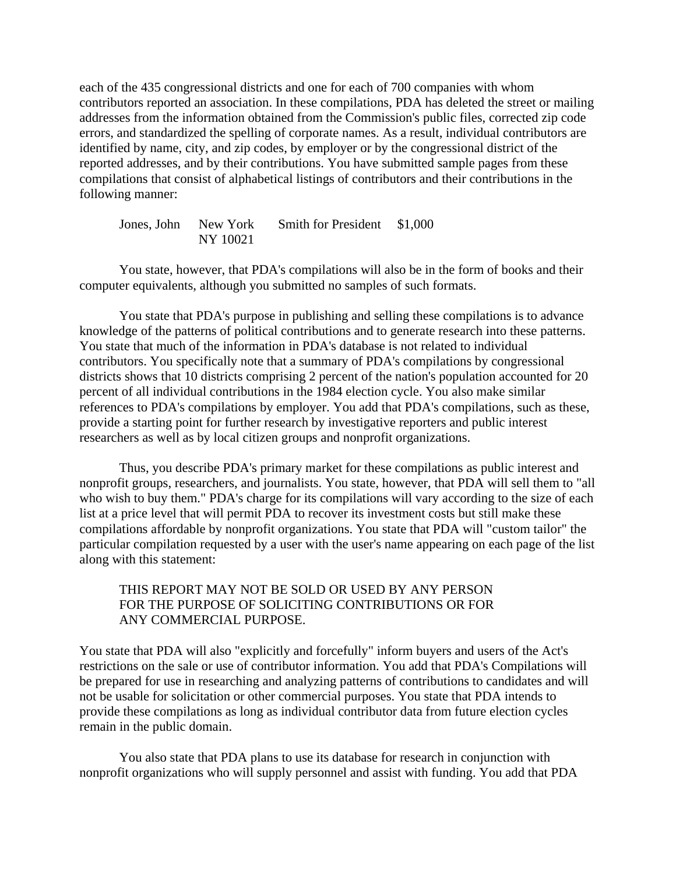each of the 435 congressional districts and one for each of 700 companies with whom contributors reported an association. In these compilations, PDA has deleted the street or mailing addresses from the information obtained from the Commission's public files, corrected zip code errors, and standardized the spelling of corporate names. As a result, individual contributors are identified by name, city, and zip codes, by employer or by the congressional district of the reported addresses, and by their contributions. You have submitted sample pages from these compilations that consist of alphabetical listings of contributors and their contributions in the following manner:

| Jones, John | New York | Smith for President \$1,000 |  |
|-------------|----------|-----------------------------|--|
|             | NY 10021 |                             |  |

You state, however, that PDA's compilations will also be in the form of books and their computer equivalents, although you submitted no samples of such formats.

You state that PDA's purpose in publishing and selling these compilations is to advance knowledge of the patterns of political contributions and to generate research into these patterns. You state that much of the information in PDA's database is not related to individual contributors. You specifically note that a summary of PDA's compilations by congressional districts shows that 10 districts comprising 2 percent of the nation's population accounted for 20 percent of all individual contributions in the 1984 election cycle. You also make similar references to PDA's compilations by employer. You add that PDA's compilations, such as these, provide a starting point for further research by investigative reporters and public interest researchers as well as by local citizen groups and nonprofit organizations.

Thus, you describe PDA's primary market for these compilations as public interest and nonprofit groups, researchers, and journalists. You state, however, that PDA will sell them to "all who wish to buy them." PDA's charge for its compilations will vary according to the size of each list at a price level that will permit PDA to recover its investment costs but still make these compilations affordable by nonprofit organizations. You state that PDA will "custom tailor" the particular compilation requested by a user with the user's name appearing on each page of the list along with this statement:

## THIS REPORT MAY NOT BE SOLD OR USED BY ANY PERSON FOR THE PURPOSE OF SOLICITING CONTRIBUTIONS OR FOR ANY COMMERCIAL PURPOSE.

You state that PDA will also "explicitly and forcefully" inform buyers and users of the Act's restrictions on the sale or use of contributor information. You add that PDA's Compilations will be prepared for use in researching and analyzing patterns of contributions to candidates and will not be usable for solicitation or other commercial purposes. You state that PDA intends to provide these compilations as long as individual contributor data from future election cycles remain in the public domain.

You also state that PDA plans to use its database for research in conjunction with nonprofit organizations who will supply personnel and assist with funding. You add that PDA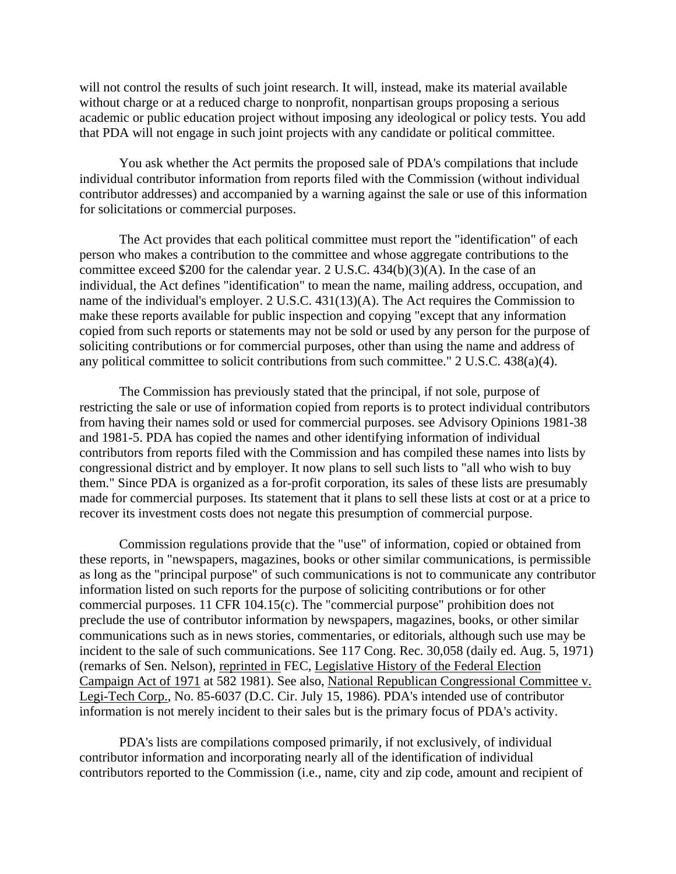will not control the results of such joint research. It will, instead, make its material available without charge or at a reduced charge to nonprofit, nonpartisan groups proposing a serious academic or public education project without imposing any ideological or policy tests. You add that PDA will not engage in such joint projects with any candidate or political committee.

You ask whether the Act permits the proposed sale of PDA's compilations that include individual contributor information from reports filed with the Commission (without individual contributor addresses) and accompanied by a warning against the sale or use of this information for solicitations or commercial purposes.

The Act provides that each political committee must report the "identification" of each person who makes a contribution to the committee and whose aggregate contributions to the committee exceed \$200 for the calendar year. 2 U.S.C. 434(b)(3)(A). In the case of an individual, the Act defines "identification" to mean the name, mailing address, occupation, and name of the individual's employer. 2 U.S.C. 431(13)(A). The Act requires the Commission to make these reports available for public inspection and copying "except that any information copied from such reports or statements may not be sold or used by any person for the purpose of soliciting contributions or for commercial purposes, other than using the name and address of any political committee to solicit contributions from such committee." 2 U.S.C. 438(a)(4).

The Commission has previously stated that the principal, if not sole, purpose of restricting the sale or use of information copied from reports is to protect individual contributors from having their names sold or used for commercial purposes. see Advisory Opinions 1981-38 and 1981-5. PDA has copied the names and other identifying information of individual contributors from reports filed with the Commission and has compiled these names into lists by congressional district and by employer. It now plans to sell such lists to "all who wish to buy them." Since PDA is organized as a for-profit corporation, its sales of these lists are presumably made for commercial purposes. Its statement that it plans to sell these lists at cost or at a price to recover its investment costs does not negate this presumption of commercial purpose.

Commission regulations provide that the "use" of information, copied or obtained from these reports, in "newspapers, magazines, books or other similar communications, is permissible as long as the "principal purpose" of such communications is not to communicate any contributor information listed on such reports for the purpose of soliciting contributions or for other commercial purposes. 11 CFR 104.15(c). The "commercial purpose" prohibition does not preclude the use of contributor information by newspapers, magazines, books, or other similar communications such as in news stories, commentaries, or editorials, although such use may be incident to the sale of such communications. See 117 Cong. Rec. 30,058 (daily ed. Aug. 5, 1971) (remarks of Sen. Nelson), reprinted in FEC, Legislative History of the Federal Election Campaign Act of 1971 at 582 1981). See also, National Republican Congressional Committee v. Legi-Tech Corp., No. 85-6037 (D.C. Cir. July 15, 1986). PDA's intended use of contributor information is not merely incident to their sales but is the primary focus of PDA's activity.

PDA's lists are compilations composed primarily, if not exclusively, of individual contributor information and incorporating nearly all of the identification of individual contributors reported to the Commission (i.e., name, city and zip code, amount and recipient of